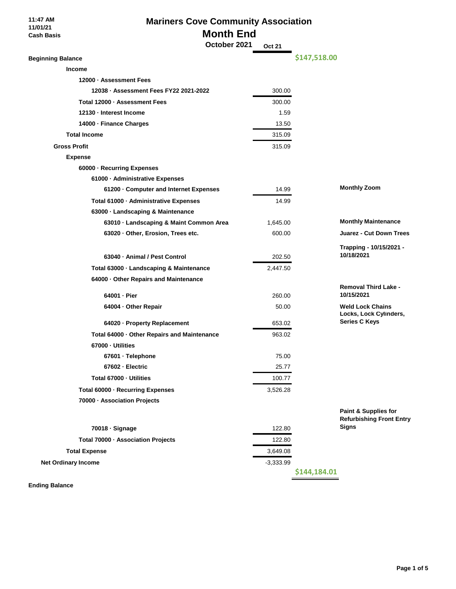**11:47 AM 11/01/21 Cash Basis**

# **Mariners Cove Community Association Month End**

 **October 2021 Oct 21**

| <b>Beginning Balance</b>                    | \$147,518.00 |                                                         |
|---------------------------------------------|--------------|---------------------------------------------------------|
| <b>Income</b>                               |              |                                                         |
| 12000 · Assessment Fees                     |              |                                                         |
| 12038 · Assessment Fees FY22 2021-2022      | 300.00       |                                                         |
| Total 12000 · Assessment Fees               | 300.00       |                                                         |
| 12130 - Interest Income                     | 1.59         |                                                         |
| 14000 · Finance Charges                     | 13.50        |                                                         |
| <b>Total Income</b>                         | 315.09       |                                                         |
| <b>Gross Profit</b>                         | 315.09       |                                                         |
| <b>Expense</b>                              |              |                                                         |
| 60000 · Recurring Expenses                  |              |                                                         |
| 61000 · Administrative Expenses             |              |                                                         |
| 61200 · Computer and Internet Expenses      | 14.99        | <b>Monthly Zoom</b>                                     |
| Total 61000 · Administrative Expenses       | 14.99        |                                                         |
| 63000 · Landscaping & Maintenance           |              |                                                         |
| 63010 · Landscaping & Maint Common Area     | 1,645.00     | <b>Monthly Maintenance</b>                              |
| 63020 · Other, Erosion, Trees etc.          | 600.00       | <b>Juarez - Cut Down Trees</b>                          |
|                                             |              | Trapping - 10/15/2021 -                                 |
| 63040 - Animal / Pest Control               | 202.50       | 10/18/2021                                              |
| Total 63000 · Landscaping & Maintenance     | 2,447.50     |                                                         |
| 64000 · Other Repairs and Maintenance       |              |                                                         |
| 64001 - Pier                                | 260.00       | <b>Removal Third Lake -</b><br>10/15/2021               |
| 64004 · Other Repair                        | 50.00        | <b>Weld Lock Chains</b>                                 |
|                                             |              | Locks, Lock Cylinders,                                  |
| 64020 · Property Replacement                | 653.02       | <b>Series C Keys</b>                                    |
| Total 64000 · Other Repairs and Maintenance | 963.02       |                                                         |
| 67000 - Utilities                           |              |                                                         |
| 67601 · Telephone                           | 75.00        |                                                         |
| 67602 - Electric                            | 25.77        |                                                         |
| Total 67000 - Utilities                     | 100.77       |                                                         |
| Total 60000 - Recurring Expenses            | 3,526.28     |                                                         |
| 70000 - Association Projects                |              |                                                         |
|                                             |              | Paint & Supplies for<br><b>Refurbishing Front Entry</b> |
| 70018 · Signage                             | 122.80       | <b>Signs</b>                                            |
| Total 70000 · Association Projects          | 122.80       |                                                         |
| <b>Total Expense</b>                        | 3,649.08     |                                                         |
| <b>Net Ordinary Income</b>                  | $-3,333.99$  |                                                         |
|                                             | \$144,184.01 |                                                         |
| <b>Ending Balance</b>                       |              |                                                         |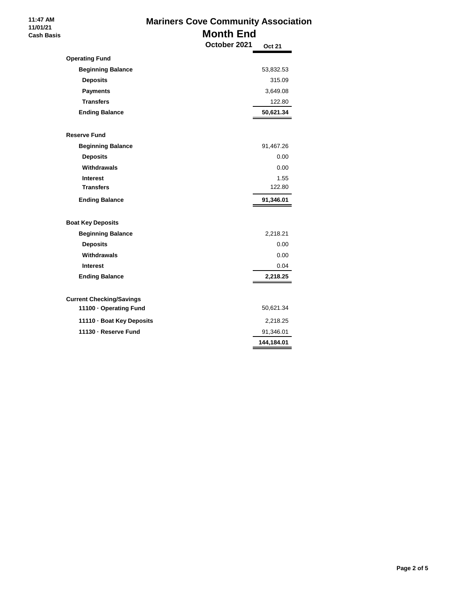## **Mariners Cove Community Association Month End October 2021 Oct 21**

|                                 | OGIODEI ZUZT | Oct 21                  |
|---------------------------------|--------------|-------------------------|
| <b>Operating Fund</b>           |              |                         |
| <b>Beginning Balance</b>        |              | 53,832.53               |
| <b>Deposits</b>                 |              | 315.09                  |
| <b>Payments</b>                 |              | 3,649.08                |
| <b>Transfers</b>                |              | 122.80                  |
| <b>Ending Balance</b>           |              | 50,621.34               |
|                                 |              |                         |
| <b>Reserve Fund</b>             |              |                         |
| <b>Beginning Balance</b>        |              | 91,467.26               |
| <b>Deposits</b>                 |              | 0.00                    |
| Withdrawals                     |              | 0.00                    |
| <b>Interest</b>                 |              | 1.55                    |
| <b>Transfers</b>                |              | 122.80                  |
| <b>Ending Balance</b>           |              | 91,346.01               |
|                                 |              |                         |
|                                 |              |                         |
| <b>Boat Key Deposits</b>        |              |                         |
| <b>Beginning Balance</b>        |              | 2,218.21                |
| <b>Deposits</b>                 |              | 0.00                    |
| Withdrawals                     |              | 0.00                    |
| <b>Interest</b>                 |              | 0.04                    |
| <b>Ending Balance</b>           |              | 2,218.25                |
|                                 |              |                         |
| <b>Current Checking/Savings</b> |              |                         |
| 11100 - Operating Fund          |              | 50,621.34               |
| 11110 · Boat Key Deposits       |              | 2,218.25                |
| 11130 - Reserve Fund            |              | 91,346.01<br>144,184.01 |

 **11:47 AM 11/01/21 Cash Basis**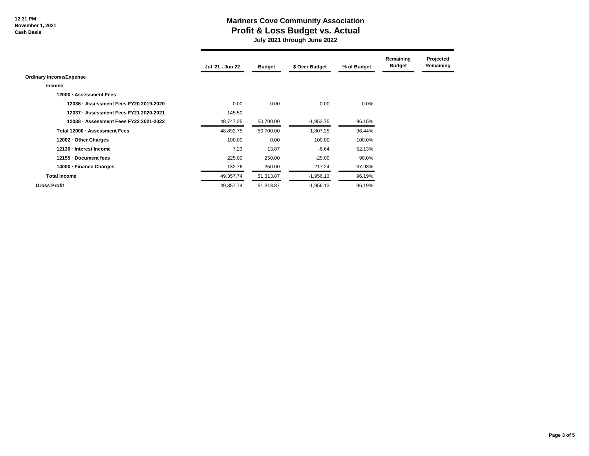#### **12:31 PM November 1, 2021 Cash Basis**

### **Mariners Cove Community Association Profit & Loss Budget vs. Actual**

 **July 2021 through June 2022**

|                                        | Jul '21 - Jun 22 | <b>Budget</b> | \$ Over Budget | % of Budget | Remaining<br><b>Budget</b> | Projected<br>Remaining |
|----------------------------------------|------------------|---------------|----------------|-------------|----------------------------|------------------------|
| <b>Ordinary Income/Expense</b>         |                  |               |                |             |                            |                        |
| <b>Income</b>                          |                  |               |                |             |                            |                        |
| 12000 - Assessment Fees                |                  |               |                |             |                            |                        |
| 12036 - Assessment Fees FY20 2019-2020 | 0.00             | 0.00          | 0.00           | $0.0\%$     |                            |                        |
| 12037 - Assessment Fees FY21 2020-2021 | 145.50           |               |                |             |                            |                        |
| 12038 - Assessment Fees FY22 2021-2022 | 48,747.25        | 50,700.00     | $-1,952.75$    | 96.15%      |                            |                        |
| Total 12000 - Assessment Fees          | 48,892.75        | 50,700.00     | $-1,807.25$    | 96.44%      |                            |                        |
| 12002 - Other Charges                  | 100.00           | 0.00          | 100.00         | 100.0%      |                            |                        |
| 12130 - Interest Income                | 7.23             | 13.87         | $-6.64$        | 52.13%      |                            |                        |
| 12155 Document fees                    | 225.00           | 250.00        | $-25.00$       | 90.0%       |                            |                        |
| 14000 - Finance Charges                | 132.76           | 350.00        | $-217.24$      | 37.93%      |                            |                        |
| <b>Total Income</b>                    | 49,357.74        | 51,313.87     | $-1,956.13$    | 96.19%      |                            |                        |
| <b>Gross Profit</b>                    | 49,357.74        | 51,313.87     | $-1,956.13$    | 96.19%      |                            |                        |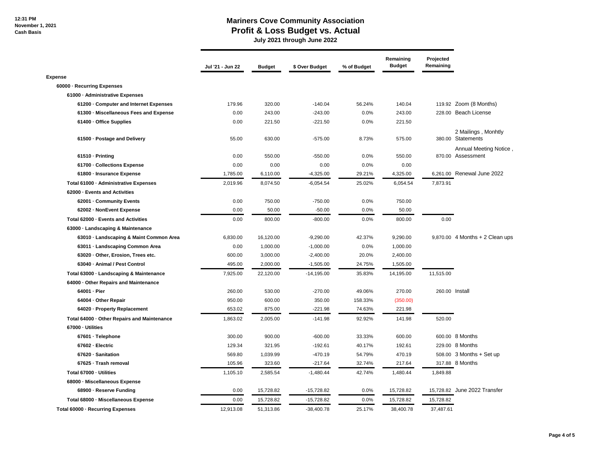### **Mariners Cove Community Association Profit & Loss Budget vs. Actual**

 **July 2021 through June 2022**

|                                             | Jul '21 - Jun 22 | <b>Budget</b> | \$ Over Budget | % of Budget | Remaining<br><b>Budget</b> | Projected<br>Remaining |                                             |
|---------------------------------------------|------------------|---------------|----------------|-------------|----------------------------|------------------------|---------------------------------------------|
| <b>Expense</b>                              |                  |               |                |             |                            |                        |                                             |
| 60000 - Recurring Expenses                  |                  |               |                |             |                            |                        |                                             |
| 61000 - Administrative Expenses             |                  |               |                |             |                            |                        |                                             |
| 61200 - Computer and Internet Expenses      | 179.96           | 320.00        | $-140.04$      | 56.24%      | 140.04                     |                        | 119.92 Zoom (8 Months)                      |
| 61300 · Miscellaneous Fees and Expense      | 0.00             | 243.00        | $-243.00$      | 0.0%        | 243.00                     |                        | 228.00 Beach License                        |
| 61400 - Office Supplies                     | 0.00             | 221.50        | $-221.50$      | 0.0%        | 221.50                     |                        |                                             |
| 61500 - Postage and Delivery                | 55.00            | 630.00        | $-575.00$      | 8.73%       | 575.00                     |                        | 2 Mailings, Monhtly<br>380.00 Statements    |
| 61510 - Printing                            | 0.00             | 550.00        | $-550.00$      | 0.0%        | 550.00                     |                        | Annual Meeting Notice,<br>870.00 Assessment |
| 61700 - Collections Expense                 | 0.00             | 0.00          | 0.00           | 0.0%        | 0.00                       |                        |                                             |
| 61800 - Insurance Expense                   | 1,785.00         | 6,110.00      | $-4,325.00$    | 29.21%      | 4,325.00                   |                        | 6,261.00 Renewal June 2022                  |
| Total 61000 - Administrative Expenses       | 2,019.96         | 8,074.50      | $-6,054.54$    | 25.02%      | 6,054.54                   | 7,873.91               |                                             |
| 62000 - Events and Activities               |                  |               |                |             |                            |                        |                                             |
| 62001 - Community Events                    | 0.00             | 750.00        | $-750.00$      | 0.0%        | 750.00                     |                        |                                             |
| 62002 - NonEvent Expense                    | 0.00             | 50.00         | $-50.00$       | 0.0%        | 50.00                      |                        |                                             |
| Total 62000 - Events and Activities         | 0.00             | 800.00        | $-800.00$      | 0.0%        | 800.00                     | 0.00                   |                                             |
| 63000 · Landscaping & Maintenance           |                  |               |                |             |                            |                        |                                             |
| 63010 Landscaping & Maint Common Area       | 6,830.00         | 16,120.00     | $-9,290.00$    | 42.37%      | 9,290.00                   |                        | $9,870.00$ 4 Months + 2 Clean ups           |
| 63011 - Landscaping Common Area             | 0.00             | 1,000.00      | $-1,000.00$    | 0.0%        | 1,000.00                   |                        |                                             |
| 63020 - Other, Erosion, Trees etc.          | 600.00           | 3,000.00      | $-2,400.00$    | 20.0%       | 2,400.00                   |                        |                                             |
| 63040 - Animal / Pest Control               | 495.00           | 2,000.00      | $-1,505.00$    | 24.75%      | 1,505.00                   |                        |                                             |
| Total 63000 - Landscaping & Maintenance     | 7,925.00         | 22,120.00     | $-14,195.00$   | 35.83%      | 14,195.00                  | 11,515.00              |                                             |
| 64000 - Other Repairs and Maintenance       |                  |               |                |             |                            |                        |                                             |
| 64001 - Pier                                | 260.00           | 530.00        | $-270.00$      | 49.06%      | 270.00                     |                        | 260.00 Install                              |
| 64004 - Other Repair                        | 950.00           | 600.00        | 350.00         | 158.33%     | (350.00)                   |                        |                                             |
| 64020 - Property Replacement                | 653.02           | 875.00        | $-221.98$      | 74.63%      | 221.98                     |                        |                                             |
| Total 64000 - Other Repairs and Maintenance | 1,863.02         | 2,005.00      | $-141.98$      | 92.92%      | 141.98                     | 520.00                 |                                             |
| 67000 - Utilities                           |                  |               |                |             |                            |                        |                                             |
| 67601 · Telephone                           | 300.00           | 900.00        | $-600.00$      | 33.33%      | 600.00                     |                        | 600.00 8 Months                             |
| 67602 - Electric                            | 129.34           | 321.95        | $-192.61$      | 40.17%      | 192.61                     |                        | 229.00 8 Months                             |
| 67620 - Sanitation                          | 569.80           | 1,039.99      | $-470.19$      | 54.79%      | 470.19                     |                        | 508.00 3 Months + Set up                    |
| 67625 - Trash removal                       | 105.96           | 323.60        | $-217.64$      | 32.74%      | 217.64                     |                        | 317.88 8 Months                             |
| Total 67000 - Utilities                     | 1,105.10         | 2,585.54      | $-1,480.44$    | 42.74%      | 1,480.44                   | 1,849.88               |                                             |
| 68000 - Miscellaneous Expense               |                  |               |                |             |                            |                        |                                             |
| 68900 - Reserve Funding                     | 0.00             | 15,728.82     | $-15,728.82$   | 0.0%        | 15,728.82                  |                        | 15,728.82 June 2022 Transfer                |
| Total 68000 - Miscellaneous Expense         | 0.00             | 15,728.82     | $-15,728.82$   | 0.0%        | 15,728.82                  | 15,728.82              |                                             |
| Total 60000 - Recurring Expenses            | 12.913.08        | 51,313.86     | $-38.400.78$   | 25.17%      | 38.400.78                  | 37.487.61              |                                             |